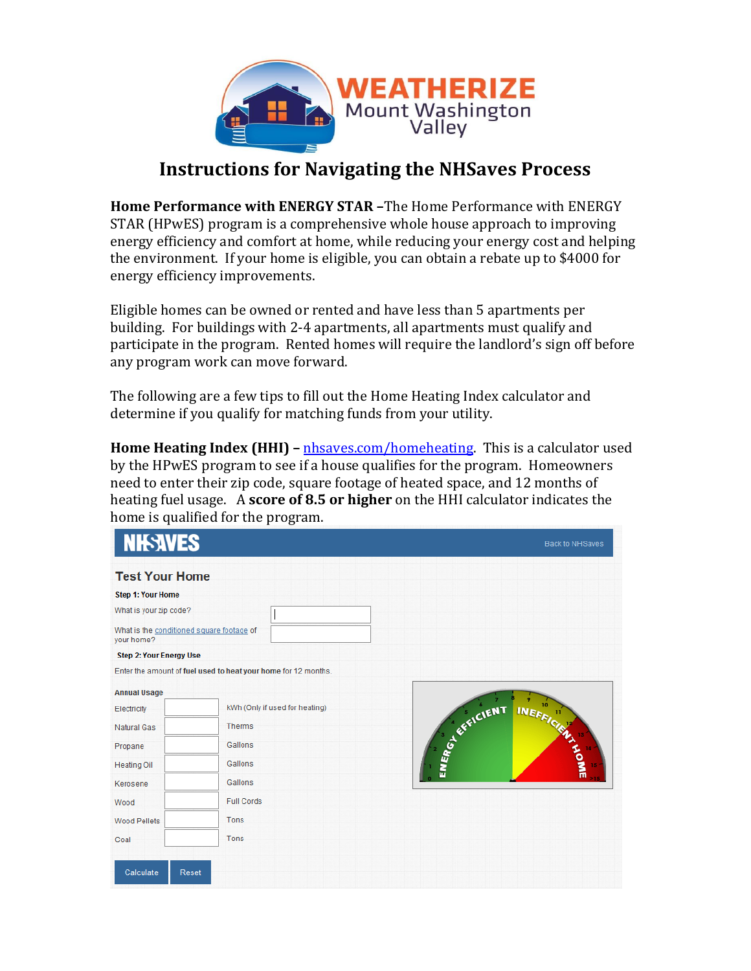

## **Instructions for Navigating the NHSaves Process**

**Home Performance with ENERGY STAR –**The Home Performance with ENERGY STAR (HPwES) program is a comprehensive whole house approach to improving energy efficiency and comfort at home, while reducing your energy cost and helping the environment. If your home is eligible, you can obtain a rebate up to \$4000 for energy efficiency improvements.

Eligible homes can be owned or rented and have less than 5 apartments per building. For buildings with 2-4 apartments, all apartments must qualify and participate in the program. Rented homes will require the landlord's sign off before any program work can move forward.

The following are a few tips to fill out the Home Heating Index calculator and determine if you qualify for matching funds from your utility.

**Home Heating Index (HHI)** – [nhsaves.com/homeheating.](file:///C:/Users/Nora/Documents/Energy/nhsaves.com/homeheating) This is a calculator used by the HPwES program to see if a house qualifies for the program. Homeowners need to enter their zip code, square footage of heated space, and 12 months of heating fuel usage. A **score of 8.5 or higher** on the HHI calculator indicates the home is qualified for the program.

| <b>NIEAVES</b>                 | Back to NHSaves                                                                                                                                                                             |
|--------------------------------|---------------------------------------------------------------------------------------------------------------------------------------------------------------------------------------------|
|                                |                                                                                                                                                                                             |
|                                |                                                                                                                                                                                             |
|                                |                                                                                                                                                                                             |
|                                |                                                                                                                                                                                             |
|                                |                                                                                                                                                                                             |
|                                |                                                                                                                                                                                             |
|                                |                                                                                                                                                                                             |
| kWh (Only if used for heating) |                                                                                                                                                                                             |
| <b>Therms</b>                  |                                                                                                                                                                                             |
| Gallons                        | INEFFICIENTS                                                                                                                                                                                |
| Gallons                        |                                                                                                                                                                                             |
| Gallons                        |                                                                                                                                                                                             |
| <b>Full Cords</b>              |                                                                                                                                                                                             |
| Tons                           |                                                                                                                                                                                             |
|                                |                                                                                                                                                                                             |
|                                | <b>Test Your Home</b><br>What is the conditioned square footage of<br><b>Step 2: Your Energy Use</b><br>Enter the amount of fuel used to heat your home for 12 months.<br>SEARCH SERVICIENT |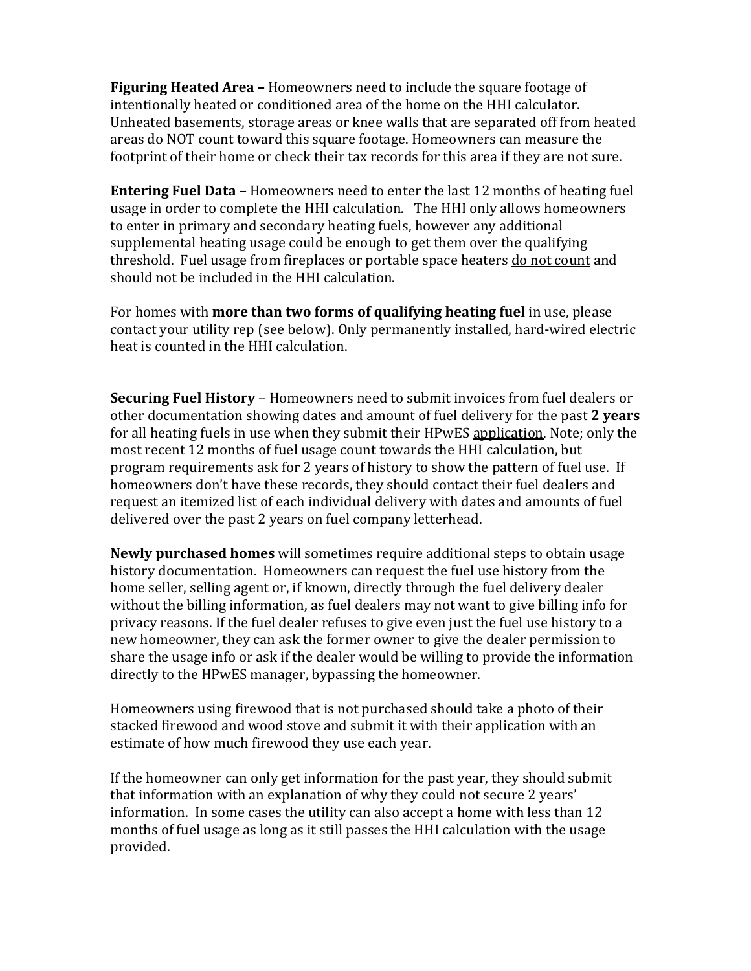**Figuring Heated Area –** Homeowners need to include the square footage of intentionally heated or conditioned area of the home on the HHI calculator. Unheated basements, storage areas or knee walls that are separated off from heated areas do NOT count toward this square footage. Homeowners can measure the footprint of their home or check their tax records for this area if they are not sure.

**Entering Fuel Data –** Homeowners need to enter the last 12 months of heating fuel usage in order to complete the HHI calculation. The HHI only allows homeowners to enter in primary and secondary heating fuels, however any additional supplemental heating usage could be enough to get them over the qualifying threshold. Fuel usage from fireplaces or portable space heaters do not count and should not be included in the HHI calculation.

For homes with **more than two forms of qualifying heating fuel** in use, please contact your utility rep (see below). Only permanently installed, hard-wired electric heat is counted in the HHI calculation.

**Securing Fuel History** – Homeowners need to submit invoices from fuel dealers or other documentation showing dates and amount of fuel delivery for the past **2 years** for all heating fuels in use when they submit their HPwES application. Note; only the most recent 12 months of fuel usage count towards the HHI calculation, but program requirements ask for 2 years of history to show the pattern of fuel use. If homeowners don't have these records, they should contact their fuel dealers and request an itemized list of each individual delivery with dates and amounts of fuel delivered over the past 2 years on fuel company letterhead.

**Newly purchased homes** will sometimes require additional steps to obtain usage history documentation. Homeowners can request the fuel use history from the home seller, selling agent or, if known, directly through the fuel delivery dealer without the billing information, as fuel dealers may not want to give billing info for privacy reasons. If the fuel dealer refuses to give even just the fuel use history to a new homeowner, they can ask the former owner to give the dealer permission to share the usage info or ask if the dealer would be willing to provide the information directly to the HPwES manager, bypassing the homeowner.

Homeowners using firewood that is not purchased should take a photo of their stacked firewood and wood stove and submit it with their application with an estimate of how much firewood they use each year.

If the homeowner can only get information for the past year, they should submit that information with an explanation of why they could not secure 2 years' information. In some cases the utility can also accept a home with less than 12 months of fuel usage as long as it still passes the HHI calculation with the usage provided.